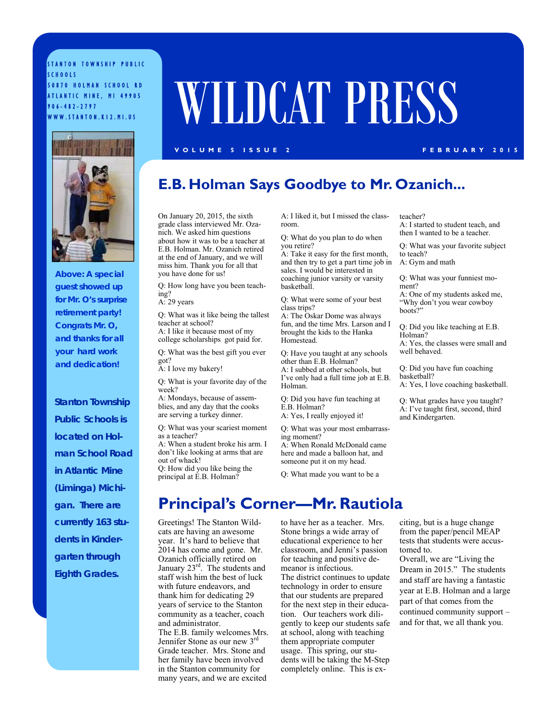STANTON TOWNSHIP PUBLIC SCHOOLS 50870 HOLMAN SCHOOL RD ATLANTIC MINE, MI 49905 906-482-2797

# SOBYO HOLMAN SCHOOL RD<br>ATLANTIC MINE, MI 49905<br>WWW.STANTON.K12.MI.US

#### **VOLUME 5 ISSUE 2 FEBRUARY 2015**



*Above:* **A special guest showed up for Mr. O's surprise retirement party! Congrats Mr. O, and thanks for all your hard work and dedication!** 

*Stanton Township Public Schools is located on Holman School Road in Atlantic Mine (Liminga) Michigan. There are currently 163 students in Kindergarten through Eighth Grades.* 

## **E.B. Holman Says Goodbye to Mr. Ozanich...**

On January 20, 2015, the sixth grade class interviewed Mr. Ozanich. We asked him questions about how it was to be a teacher at E.B. Holman. Mr. Ozanich retired at the end of January, and we will miss him. Thank you for all that you have done for us!

Q: How long have you been teaching?

A: 29 years

Q: What was it like being the tallest teacher at school? A: I like it because most of my college scholarships got paid for.

Q: What was the best gift you ever got?

A: I love my bakery!

Q: What is your favorite day of the week?

A: Mondays, because of assemblies, and any day that the cooks are serving a turkey dinner.

Q: What was your scariest moment as a teacher? A: When a student broke his arm. I

don't like looking at arms that are out of whack! Q: How did you like being the principal at E.B. Holman?

and administrator.

A: I liked it, but I missed the classroom.

Q: What do you plan to do when you retire?

A: Take it easy for the first month, and then try to get a part time job in sales. I would be interested in coaching junior varsity or varsity basketball.

Q: What were some of your best class trips?

A: The Oskar Dome was always fun, and the time Mrs. Larson and I brought the kids to the Hanka Homestead.

Q: Have you taught at any schools other than E.B. Holman?

A: I subbed at other schools, but I've only had a full time job at E.B. Holman.

Q: Did you have fun teaching at E.B. Holman?

A: Yes, I really enjoyed it!

Q: What was your most embarrassing moment? A: When Ronald McDonald came

here and made a balloon hat, and someone put it on my head.

Q: What made you want to be a

A: I started to student teach, and then I wanted to be a teacher. Q: What was your favorite subject

to teach?

A: Gym and math

teacher?

Q: What was your funniest moment? A: One of my students asked me, "Why don't you wear cowboy boots?"

Q: Did you like teaching at E.B. Holman? A: Yes, the classes were small and

well behaved.

Q: Did you have fun coaching basketball? A: Yes, I love coaching basketball.

Q: What grades have you taught? A: I've taught first, second, third and Kindergarten.

Greetings! The Stanton Wildcats are having an awesome to have her as a teacher. Mrs. **Principal's Corner—Mr. Rautiola** 

year. It's hard to believe that 2014 has come and gone. Mr. Ozanich officially retired on January 23<sup>rd</sup>. The students and staff wish him the best of luck with future endeavors, and thank him for dedicating 29 years of service to the Stanton community as a teacher, coach The E.B. family welcomes Mrs. Jennifer Stone as our new 3rd Grade teacher. Mrs. Stone and her family have been involved in the Stanton community for many years, and we are excited Stone brings a wide array of educational experience to her classroom, and Jenni's passion for teaching and positive demeanor is infectious. The district continues to update technology in order to ensure that our students are prepared for the next step in their education. Our teachers work diligently to keep our students safe at school, along with teaching them appropriate computer usage. This spring, our students will be taking the M-Step completely online. This is exciting, but is a huge change from the paper/pencil MEAP tests that students were accustomed to.

Overall, we are "Living the Dream in 2015." The students and staff are having a fantastic year at E.B. Holman and a large part of that comes from the continued community support – and for that, we all thank you.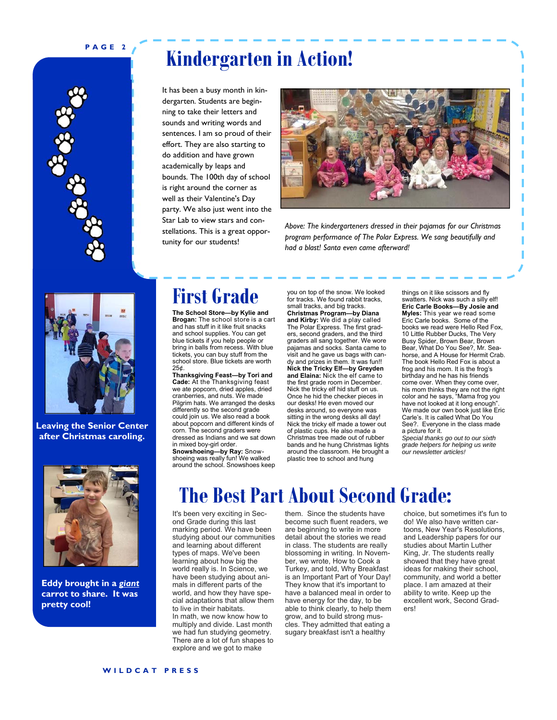#### **PAGE 2**



## **Kindergarten in Action!**

It has been a busy month in kindergarten. Students are beginning to take their letters and sounds and writing words and sentences. I am so proud of their effort. They are also starting to do addition and have grown academically by leaps and bounds. The 100th day of school is right around the corner as well as their Valentine's Day party. We also just went into the Star Lab to view stars and constellations. This is a great opportunity for our students!



*Above: The kindergarteners dressed in their pajamas for our Christmas program performance of The Polar Express. We sang beautifully and had a blast! Santa even came afterward!* 



**Leaving the Senior Center after Christmas caroling.**



**Eddy brought in a** *giant* **carrot to share. It was pretty cool!** 

## **First Grade**

**The School Store—by Kylie and Brogan:** The school store is a cart and has stuff in it like fruit snacks and school supplies. You can get blue tickets if you help people or bring in balls from recess. With blue tickets, you can buy stuff from the school store. Blue tickets are worth 25¢.

**Thanksgiving Feast—by Tori and Cade:** At the Thanksgiving feast we ate popcorn, dried apples, dried cranberries, and nuts. We made Pilgrim hats. We arranged the desks differently so the second grade could join us. We also read a book about popcorn and different kinds of corn. The second graders were dressed as Indians and we sat down in mixed boy-girl order. **Snowshoeing—by Ray:** Snowshoeing was really fun! We walked around the school. Snowshoes keep

you on top of the snow. We looked for tracks. We found rabbit tracks, small tracks, and big tracks. **Christmas Program—by Diana and Kirby:** We did a play called The Polar Express. The first graders, second graders, and the third graders all sang together. We wore pajamas and socks. Santa came to visit and he gave us bags with candy and prizes in them. It was fun!! **Nick the Tricky Elf—by Greyden and Elaina:** Nick the elf came to the first grade room in December. Nick the tricky elf hid stuff on us. Once he hid the checker pieces in our desks! He even moved our desks around, so everyone was sitting in the wrong desks all day! Nick the tricky elf made a tower out of plastic cups. He also made a Christmas tree made out of rubber bands and he hung Christmas lights around the classroom. He brought a plastic tree to school and hung

things on it like scissors and fly swatters. Nick was such a silly elf! **Eric Carle Books—By Josie and Myles:** This year we read some Eric Carle books. Some of the books we read were Hello Red Fox, 10 Little Rubber Ducks, The Very Busy Spider, Brown Bear, Brown Bear, What Do You See?, Mr. Seahorse, and A House for Hermit Crab. The book Hello Red Fox is about a frog and his mom. It is the frog's birthday and he has his friends come over. When they come over, his mom thinks they are not the right color and he says, "Mama frog you have not looked at it long enough We made our own book just like Eric Carle's. It is called What Do You See?. Everyone in the class made a picture for it. *Special thanks go out to our sixth grade helpers for helping us write our newsletter articles!* 

# **The Best Part About Second Grade:**

It's been very exciting in Second Grade during this last marking period. We have been studying about our communities and learning about different types of maps. We've been learning about how big the world really is. In Science, we have been studying about animals in different parts of the world, and how they have special adaptations that allow them to live in their habitats. In math, we now know how to multiply and divide. Last month we had fun studying geometry. There are a lot of fun shapes to explore and we got to make

them. Since the students have become such fluent readers, we are beginning to write in more detail about the stories we read in class. The students are really blossoming in writing. In November, we wrote, How to Cook a Turkey, and told, Why Breakfast is an Important Part of Your Day! They know that it's important to have a balanced meal in order to have energy for the day, to be able to think clearly, to help them grow, and to build strong muscles. They admitted that eating a sugary breakfast isn't a healthy

choice, but sometimes it's fun to do! We also have written cartoons, New Year's Resolutions, and Leadership papers for our studies about Martin Luther King, Jr. The students really showed that they have great ideas for making their school, community, and world a better place. I am amazed at their ability to write. Keep up the excellent work, Second Grad-**Arc** 

**WILDCAT PRESS**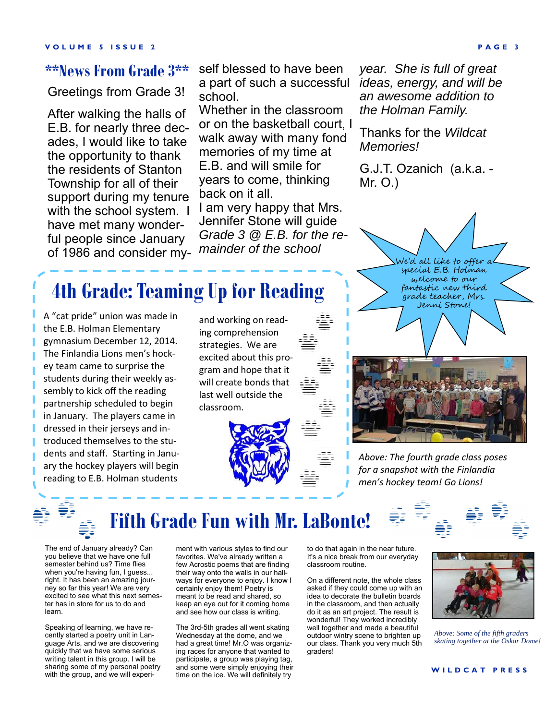### **\*\*News From Grade 3\*\***

Greetings from Grade 3!

After walking the halls of E.B. for nearly three decades, I would like to take the opportunity to thank the residents of Stanton Township for all of their support during my tenure with the school system. I have met many wonderful people since January of 1986 and consider myself blessed to have been a part of such a successful *ideas, energy, and will be*  school.

Whether in the classroom or on the basketball court, I walk away with many fond memories of my time at E.B. and will smile for years to come, thinking back on it all.

I am very happy that Mrs. Jennifer Stone will guide *Grade 3 @ E.B. for the remainder of the school* 

*year. She is full of great an awesome addition to the Holman Family.* 

Thanks for the *Wildcat Memories!*

G.J.T. Ozanich (a.k.a. - Mr. O.)

## **4th Grade: Teaming Up for Reading**

A "cat pride" union was made in the E.B. Holman Elementary gymnasium December 12, 2014. The Finlandia Lions men's hockey team came to surprise the students during their weekly assembly to kick off the reading partnership scheduled to begin in January. The players came in dressed in their jerseys and introduced themselves to the students and staff. Starting in January the hockey players will begin reading to E.B. Holman students

and working on reading comprehension strategies. We are excited about this program and hope that it will create bonds that last well outside the classroom.





Ne'd all like to offer a special E.B. Holman welcome to our fantastic new third grade teacher, Mrs. Jenni Stone!

*Above: The fourth grade class poses for a snapshot with the Finlandia men's hockey team! Go Lions!*



learn.

you believe that we have one full semester behind us? Time flies when you're having fun, I guess... right. It has been an amazing journey so far this year! We are very excited to see what this next semester has in store for us to do and

Speaking of learning, we have recently started a poetry unit in Language Arts, and we are discovering quickly that we have some serious writing talent in this group. I will be sharing some of my personal poetry with the group, and we will experi-

## **Fifth Grade Fun with Mr. LaBonte!**

ment with various styles to find our favorites. We've already written a few Acrostic poems that are finding their way onto the walls in our hallways for everyone to enjoy. I know I certainly enjoy them! Poetry is meant to be read and shared, so keep an eye out for it coming home and see how our class is writing.

The 3rd-5th grades all went skating Wednesday at the dome, and we had a great time! Mr.O was organizing races for anyone that wanted to participate, a group was playing tag, and some were simply enjoying their time on the ice. We will definitely try

to do that again in the near future. It's a nice break from our everyday classroom routine.

On a different note, the whole class asked if they could come up with an idea to decorate the bulletin boards in the classroom, and then actually do it as an art project. The result is wonderful! They worked incredibly well together and made a beautiful outdoor wintry scene to brighten up our class. Thank you very much 5th graders!



*Above: Some of the fifth graders skating together at the Oskar Dome!* 

**WILDCAT PRESS**